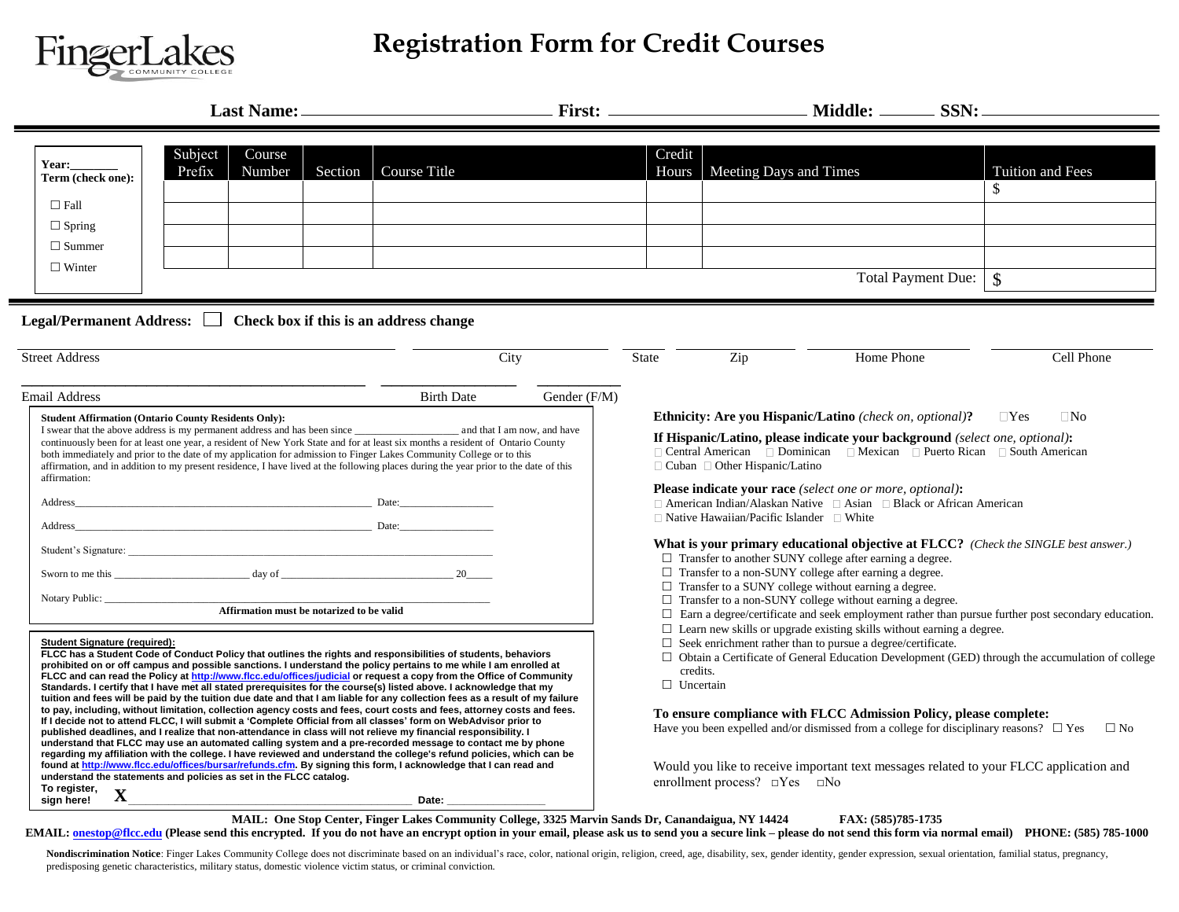

## **Registration Form for Credit Courses**

| Year:<br>Term (check one):<br>$\Box$ Fall<br>$\Box$ Spring                        | Subject<br>Course<br>Prefix<br>Number                                  | Course Title<br>Section                                                                                                                                                                                                                                                                                                                                                                                                                                                                                                                                                                                                                                                                                                                                                                                                                                                                                                                                                                                                                                                                                                                                                                                                                                                                                                                        | Credit                                                                                                                                                                                                                                                                                                                                                                                                                                                                                                                                                 | Hours   Meeting Days and Times                                                                    |                                                                                                                                                                                                                                                                                                                                                                                | Tuition and Fees<br>\$                                                                                              |  |
|-----------------------------------------------------------------------------------|------------------------------------------------------------------------|------------------------------------------------------------------------------------------------------------------------------------------------------------------------------------------------------------------------------------------------------------------------------------------------------------------------------------------------------------------------------------------------------------------------------------------------------------------------------------------------------------------------------------------------------------------------------------------------------------------------------------------------------------------------------------------------------------------------------------------------------------------------------------------------------------------------------------------------------------------------------------------------------------------------------------------------------------------------------------------------------------------------------------------------------------------------------------------------------------------------------------------------------------------------------------------------------------------------------------------------------------------------------------------------------------------------------------------------|--------------------------------------------------------------------------------------------------------------------------------------------------------------------------------------------------------------------------------------------------------------------------------------------------------------------------------------------------------------------------------------------------------------------------------------------------------------------------------------------------------------------------------------------------------|---------------------------------------------------------------------------------------------------|--------------------------------------------------------------------------------------------------------------------------------------------------------------------------------------------------------------------------------------------------------------------------------------------------------------------------------------------------------------------------------|---------------------------------------------------------------------------------------------------------------------|--|
| $\Box$ Summer<br>$\Box$ Winter                                                    |                                                                        |                                                                                                                                                                                                                                                                                                                                                                                                                                                                                                                                                                                                                                                                                                                                                                                                                                                                                                                                                                                                                                                                                                                                                                                                                                                                                                                                                |                                                                                                                                                                                                                                                                                                                                                                                                                                                                                                                                                        | <b>Total Payment Due:</b><br>$\sqrt{3}$                                                           |                                                                                                                                                                                                                                                                                                                                                                                |                                                                                                                     |  |
| <b>Street Address</b>                                                             | Legal/Permanent Address: $\Box$ Check box if this is an address change | City                                                                                                                                                                                                                                                                                                                                                                                                                                                                                                                                                                                                                                                                                                                                                                                                                                                                                                                                                                                                                                                                                                                                                                                                                                                                                                                                           | <b>State</b>                                                                                                                                                                                                                                                                                                                                                                                                                                                                                                                                           | Zip                                                                                               | Home Phone                                                                                                                                                                                                                                                                                                                                                                     | Cell Phone                                                                                                          |  |
| <b>Email Address</b><br>affirmation:<br>Address                                   | <b>Student Affirmation (Ontario County Residents Only):</b><br>Date:   | Gender (F/M)<br><b>Birth Date</b><br>continuously been for at least one year, a resident of New York State and for at least six months a resident of Ontario County<br>both immediately and prior to the date of my application for admission to Finger Lakes Community College or to this<br>affirmation, and in addition to my present residence, I have lived at the following places during the year prior to the date of this                                                                                                                                                                                                                                                                                                                                                                                                                                                                                                                                                                                                                                                                                                                                                                                                                                                                                                             |                                                                                                                                                                                                                                                                                                                                                                                                                                                                                                                                                        | $\Box$ Cuban $\Box$ Other Hispanic/Latino<br>$\Box$ Native Hawaiian/Pacific Islander $\Box$ White | <b>Ethnicity: Are you Hispanic/Latino</b> (check on, optional)?<br>If Hispanic/Latino, please indicate your background (select one, optional):<br>□ Central American □ Dominican □ Mexican □ Puerto Rican □ South American<br>Please indicate your race (select one or more, optional):<br>$\Box$ American Indian/Alaskan Native $\Box$ Asian $\Box$ Black or African American | $\Box$ No<br>$\Box$ Yes                                                                                             |  |
| Student's Signature:<br>Affirmation must be notarized to be valid                 |                                                                        |                                                                                                                                                                                                                                                                                                                                                                                                                                                                                                                                                                                                                                                                                                                                                                                                                                                                                                                                                                                                                                                                                                                                                                                                                                                                                                                                                | What is your primary educational objective at FLCC? (Check the SINGLE best answer.)<br>$\Box$ Transfer to another SUNY college after earning a degree.<br>$\Box$ Transfer to a non-SUNY college after earning a degree.<br>$\Box$ Transfer to a SUNY college without earning a degree.<br>$\Box$ Transfer to a non-SUNY college without earning a degree.<br>$\Box$ Earn a degree/certificate and seek employment rather than pursue further post secondary education.<br>$\Box$ Learn new skills or upgrade existing skills without earning a degree. |                                                                                                   |                                                                                                                                                                                                                                                                                                                                                                                |                                                                                                                     |  |
| <b>Student Signature (required):</b><br>To register,<br>$\mathbf X$<br>sign here! | understand the statements and policies as set in the FLCC catalog.     | FLCC has a Student Code of Conduct Policy that outlines the rights and responsibilities of students, behaviors<br>prohibited on or off campus and possible sanctions. I understand the policy pertains to me while I am enrolled at<br>FLCC and can read the Policy at http://www.flcc.edu/offices/judicial or request a copy from the Office of Community<br>Standards. I certify that I have met all stated prerequisites for the course(s) listed above. I acknowledge that my<br>tuition and fees will be paid by the tuition due date and that I am liable for any collection fees as a result of my failure<br>to pay, including, without limitation, collection agency costs and fees, court costs and fees, attorney costs and fees.<br>If I decide not to attend FLCC, I will submit a 'Complete Official from all classes' form on WebAdvisor prior to<br>published deadlines, and I realize that non-attendance in class will not relieve my financial responsibility. I<br>understand that FLCC may use an automated calling system and a pre-recorded message to contact me by phone<br>regarding my affiliation with the college. I have reviewed and understand the college's refund policies, which can be<br>found at http://www.flcc.edu/offices/bursar/refunds.cfm. By signing this form, I acknowledge that I can read and | credits.<br>$\Box$ Uncertain                                                                                                                                                                                                                                                                                                                                                                                                                                                                                                                           | enrollment process? $\Box$ Yes $\Box$ No                                                          | $\Box$ Seek enrichment rather than to pursue a degree/certificate.<br>To ensure compliance with FLCC Admission Policy, please complete:<br>Have you been expelled and/or dismissed from a college for disciplinary reasons? $\Box$ Yes<br>Would you like to receive important text messages related to your FLCC application and                                               | $\Box$ Obtain a Certificate of General Education Development (GED) through the accumulation of college<br>$\Box$ No |  |

EMAIL: **onestop@flcc.edu** (Please send this encrypted. If you do not have an encrypt option in your email, please ask us to send you a secure link - please do not send this form via normal email) PHONE: (585) 785-1000

Nondiscrimination Notice: Finger Lakes Community College does not discriminate based on an individual's race, color, national origin, religion, creed, age, disability, sex, gender identity, gender expression, sexual orient predisposing genetic characteristics, military status, domestic violence victim status, or criminal conviction.